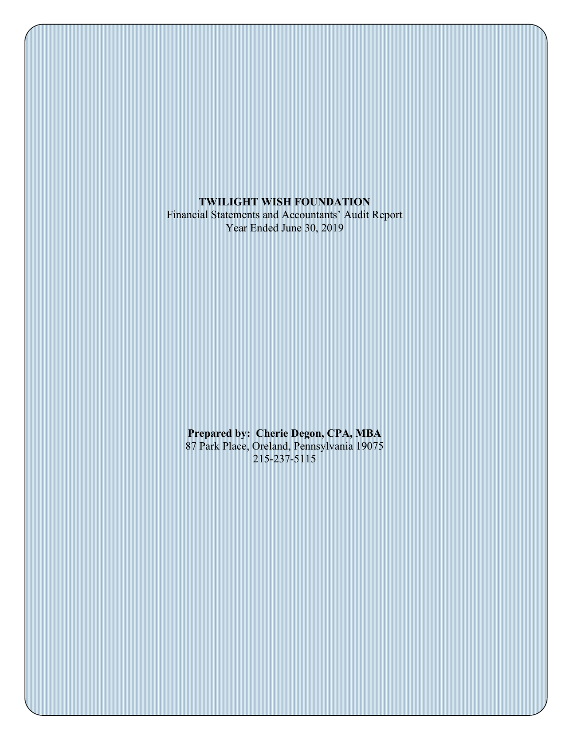TWILIGHT WISH FOUNDATION Financial Statements and Accountants' Audit Report Year Ended June 30, 2019

Prepared by: Cherie Degon, CPA, MBA 87 Park Place, Oreland, Pennsylvania 19075 215-237-5115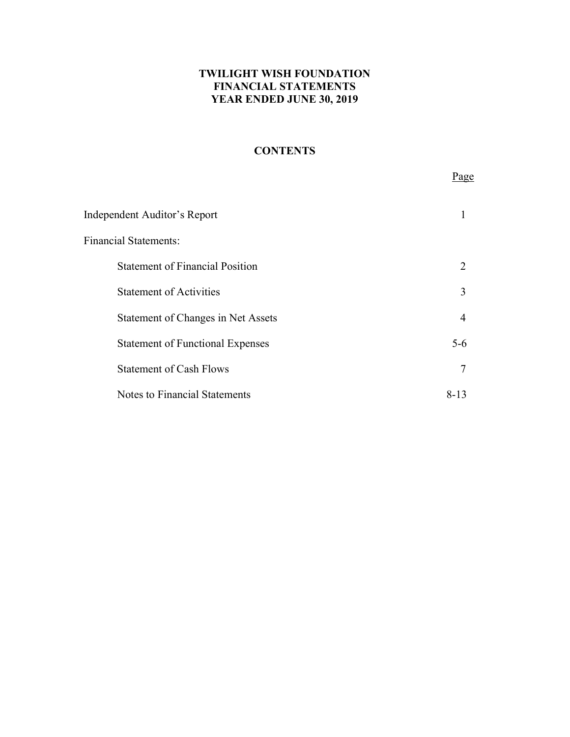# **CONTENTS**

Page **Page** 

| Independent Auditor's Report            |                |
|-----------------------------------------|----------------|
| <b>Financial Statements:</b>            |                |
| <b>Statement of Financial Position</b>  | 2              |
| <b>Statement of Activities</b>          | $\mathcal{F}$  |
| Statement of Changes in Net Assets      | $\overline{4}$ |
| <b>Statement of Functional Expenses</b> | $5 - 6$        |
| <b>Statement of Cash Flows</b>          |                |
| <b>Notes to Financial Statements</b>    | 8-13           |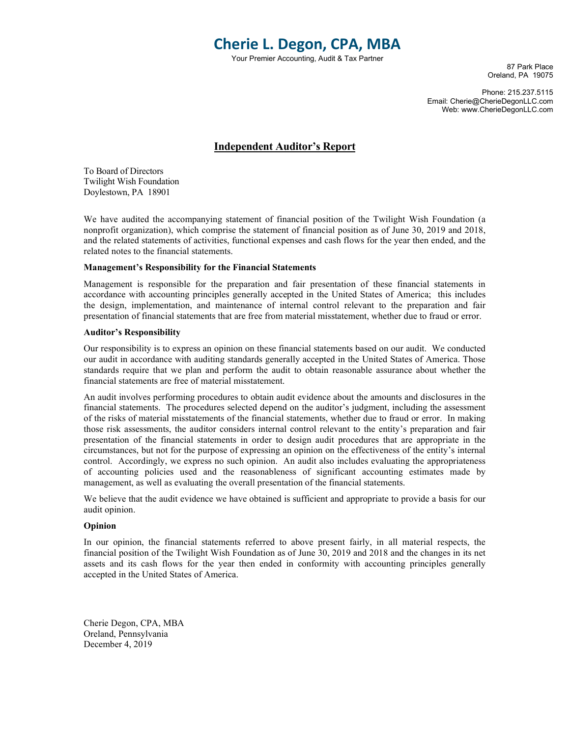# Cherie L. Degon, CPA, MBA

Your Premier Accounting, Audit & Tax Partner

87 Park Place Oreland, PA 19075

Phone: 215.237.5115 Email: Cherie@CherieDegonLLC.com Web: www.CherieDegonLLC.com

#### Independent Auditor's Report

To Board of Directors Twilight Wish Foundation Doylestown, PA 18901

We have audited the accompanying statement of financial position of the Twilight Wish Foundation (a nonprofit organization), which comprise the statement of financial position as of June 30, 2019 and 2018, and the related statements of activities, functional expenses and cash flows for the year then ended, and the related notes to the financial statements.

#### Management's Responsibility for the Financial Statements

Management is responsible for the preparation and fair presentation of these financial statements in accordance with accounting principles generally accepted in the United States of America; this includes the design, implementation, and maintenance of internal control relevant to the preparation and fair presentation of financial statements that are free from material misstatement, whether due to fraud or error.

#### Auditor's Responsibility

Our responsibility is to express an opinion on these financial statements based on our audit. We conducted our audit in accordance with auditing standards generally accepted in the United States of America. Those standards require that we plan and perform the audit to obtain reasonable assurance about whether the financial statements are free of material misstatement.

An audit involves performing procedures to obtain audit evidence about the amounts and disclosures in the financial statements. The procedures selected depend on the auditor's judgment, including the assessment of the risks of material misstatements of the financial statements, whether due to fraud or error. In making those risk assessments, the auditor considers internal control relevant to the entity's preparation and fair presentation of the financial statements in order to design audit procedures that are appropriate in the circumstances, but not for the purpose of expressing an opinion on the effectiveness of the entity's internal control. Accordingly, we express no such opinion. An audit also includes evaluating the appropriateness of accounting policies used and the reasonableness of significant accounting estimates made by management, as well as evaluating the overall presentation of the financial statements.

We believe that the audit evidence we have obtained is sufficient and appropriate to provide a basis for our audit opinion.

#### Opinion

In our opinion, the financial statements referred to above present fairly, in all material respects, the financial position of the Twilight Wish Foundation as of June 30, 2019 and 2018 and the changes in its net assets and its cash flows for the year then ended in conformity with accounting principles generally accepted in the United States of America.

Cherie Degon, CPA, MBA Oreland, Pennsylvania December 4, 2019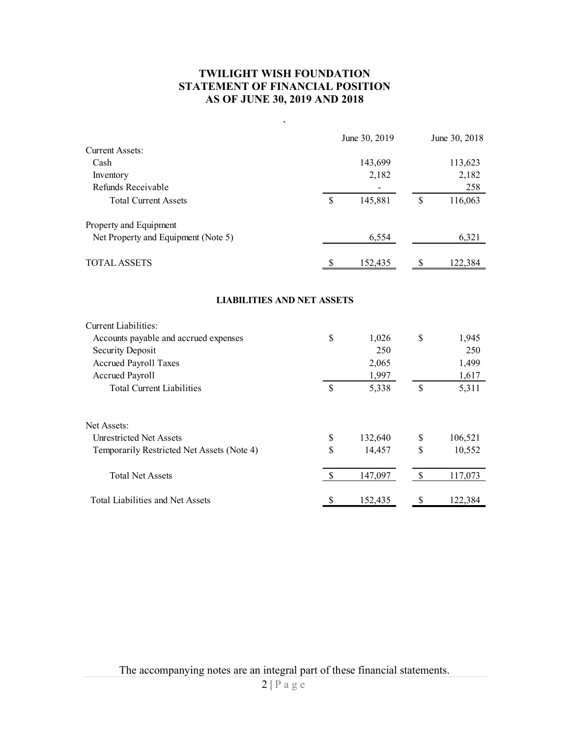# TWILIGHT WISH FOUNDATION STATEMENT OF FINANCIAL POSITION AS OF JUNE 30, 2019 AND 2018

| <b>TWILIGHT WISH FOUNDATION</b><br>STATEMENT OF FINANCIAL POSITION<br>AS OF JUNE 30, 2019 AND 2018 |               |               |               |               |  |  |
|----------------------------------------------------------------------------------------------------|---------------|---------------|---------------|---------------|--|--|
| $\cdot$                                                                                            |               |               |               |               |  |  |
| <b>Current Assets:</b>                                                                             |               | June 30, 2019 |               | June 30, 2018 |  |  |
| Cash                                                                                               |               | 143,699       |               | 113,623       |  |  |
| Inventory                                                                                          |               | 2,182         |               | 2,182         |  |  |
| Refunds Receivable                                                                                 |               |               |               | 258           |  |  |
| <b>Total Current Assets</b>                                                                        | $\mathcal{S}$ | 145,881       | $\mathbb S$   | 116,063       |  |  |
| Property and Equipment                                                                             |               |               |               |               |  |  |
| Net Property and Equipment (Note 5)                                                                |               | 6,554         |               | 6,321         |  |  |
| TOTAL ASSETS                                                                                       | <sup>S</sup>  | 152,435       | $\mathcal{S}$ | 122,384       |  |  |
| <b>LIABILITIES AND NET ASSETS</b>                                                                  |               |               |               |               |  |  |
|                                                                                                    |               |               |               |               |  |  |
| Current Liabilities:<br>Accounts payable and accrued expenses                                      | $\mathbb S$   | 1,026         | $\mathbb S$   | 1,945         |  |  |
| Security Deposit                                                                                   |               | 250           |               | 250           |  |  |
| Accrued Payroll Taxes                                                                              |               | 2,065         |               | 1,499         |  |  |
| Accrued Payroll                                                                                    |               | 1,997         |               | 1,617         |  |  |
| <b>Total Current Liabilities</b>                                                                   | $\mathbb S$   | 5,338         | $\mathbb{S}$  | 5,311         |  |  |
| Net Assets:                                                                                        |               |               |               |               |  |  |
| <b>Unrestricted Net Assets</b>                                                                     | $\mathbb S$   | 132,640       | $\mathbb S$   | 106,521       |  |  |
| Temporarily Restricted Net Assets (Note 4)                                                         | $\mathbb S$   | 14,457        | $\mathbb{S}$  | 10,552        |  |  |
| <b>Total Net Assets</b>                                                                            | $\mathbb{S}$  | 147,097       | $\mathbb{S}$  | 117,073       |  |  |
|                                                                                                    |               |               |               |               |  |  |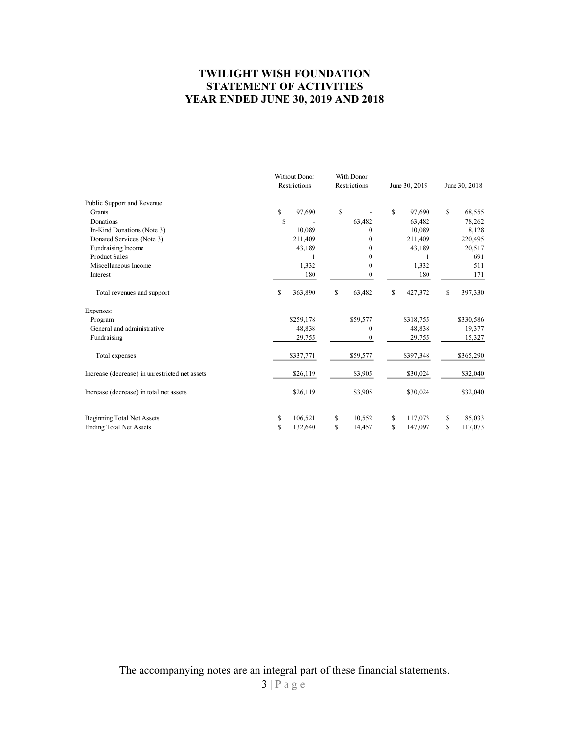## TWILIGHT WISH FOUNDATION STATEMENT OF ACTIVITIES YEAR ENDED JUNE 30, 2019 AND 2018

|                                                | <b>TWILIGHT WISH FOUNDATION</b><br><b>STATEMENT OF ACTIVITIES</b><br><b>YEAR ENDED JUNE 30, 2019 AND 2018</b> |                            |                       |                         |
|------------------------------------------------|---------------------------------------------------------------------------------------------------------------|----------------------------|-----------------------|-------------------------|
|                                                | Without Donor<br>Restrictions                                                                                 | With Donor<br>Restrictions | June 30, 2019         | June 30, 2018           |
| Public Support and Revenue                     |                                                                                                               |                            |                       |                         |
| Grants                                         | 97,690<br>\$                                                                                                  | $\mathbf S$                | $\mathbf S$<br>97,690 | $\mathbf S$<br>68,555   |
| Donations                                      | \$                                                                                                            | 63,482                     | 63,482                | 78,262                  |
| In-Kind Donations (Note 3)                     | 10,089                                                                                                        | $\mathbf{0}$               | 10,089                | 8,128                   |
| Donated Services (Note 3)                      | 211,409                                                                                                       | $\mathbf{0}$               | 211,409               | 220,495                 |
| Fundraising Income                             | 43,189                                                                                                        | $\mathbf{0}$               | 43,189                | 20,517                  |
| <b>Product Sales</b>                           |                                                                                                               | $\mathbf{0}$               | $\mathbf{1}$          | 691                     |
| Miscellaneous Income                           | 1,332                                                                                                         | $\mathbf{0}$               | 1,332                 | 511                     |
| Interest                                       | 180                                                                                                           | $\mathbf{0}$               | 180                   | 171                     |
| Total revenues and support                     | $\mathbb{S}$<br>363,890                                                                                       | <sup>\$</sup><br>63,482    | \$<br>427,372         | \$<br>397,330           |
| Expenses:                                      |                                                                                                               |                            |                       |                         |
| Program                                        | \$259,178                                                                                                     | \$59,577                   | \$318,755             | \$330,586               |
| General and administrative                     | 48,838                                                                                                        | $\mathbf{0}$               | 48,838                | 19,377                  |
| Fundraising                                    | 29,755                                                                                                        | $\bf{0}$                   | 29,755                | 15,327                  |
| Total expenses                                 | \$337,771                                                                                                     | \$59,577                   | \$397,348             | \$365,290               |
| Increase (decrease) in unrestricted net assets | \$26,119                                                                                                      | \$3,905                    | \$30,024              | \$32,040                |
| Increase (decrease) in total net assets        | \$26,119                                                                                                      | \$3,905                    | \$30,024              | \$32,040                |
|                                                |                                                                                                               |                            |                       |                         |
| Beginning Total Net Assets                     | 106,521<br>\$                                                                                                 | 10,552<br>S                | 117,073<br>S          | 85,033<br><sup>\$</sup> |
| <b>Ending Total Net Assets</b>                 | \$<br>132,640                                                                                                 | $\mathbb{S}$<br>14,457     | \$<br>147,097         | $\mathbb{S}$<br>117,073 |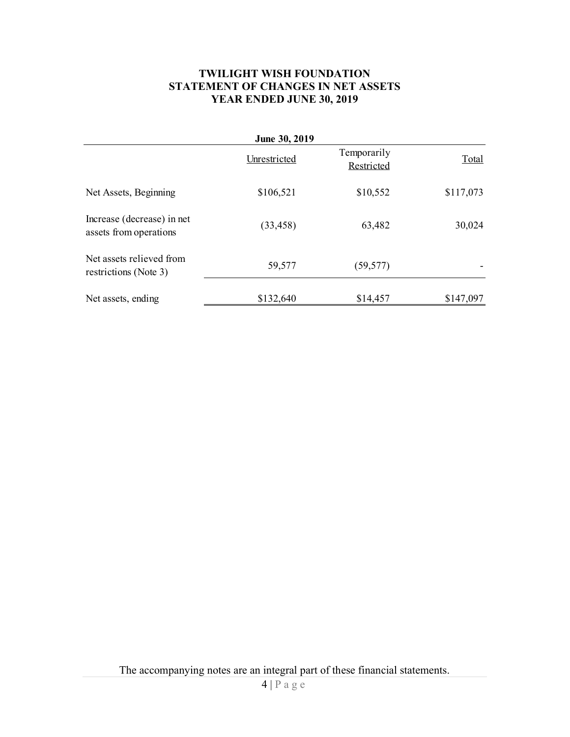## TWILIGHT WISH FOUNDATION STATEMENT OF CHANGES IN NET ASSETS YEAR ENDED JUNE 30, 2019

|                                                      | <b>TWILIGHT WISH FOUNDATION</b><br>STATEMENT OF CHANGES IN NET ASSETS<br>YEAR ENDED JUNE 30, 2019 |                           |           |
|------------------------------------------------------|---------------------------------------------------------------------------------------------------|---------------------------|-----------|
|                                                      | June 30, 2019<br>Unrestricted                                                                     | Temporarily<br>Restricted | Total     |
| Net Assets, Beginning                                | \$106,521                                                                                         | \$10,552                  | \$117,073 |
| Increase (decrease) in net<br>assets from operations | (33, 458)                                                                                         | 63,482                    | 30,024    |
| Net assets relieved from<br>restrictions (Note 3)    | 59,577                                                                                            | (59, 577)                 |           |
| Net assets, ending                                   | \$132,640                                                                                         | \$14,457                  | \$147,097 |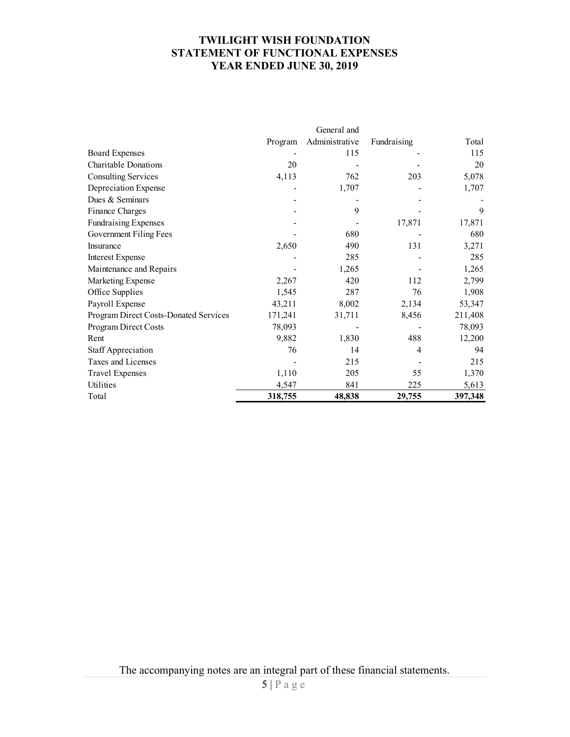## TWILIGHT WISH FOUNDATION STATEMENT OF FUNCTIONAL EXPENSES YEAR ENDED JUNE 30, 2019

|                                       |         | General and    |             |         |
|---------------------------------------|---------|----------------|-------------|---------|
|                                       | Program | Administrative | Fundraising | Total   |
| <b>Board Expenses</b>                 |         | 115            |             | 115     |
| Charitable Donations                  | 20      |                |             | 20      |
| <b>Consulting Services</b>            | 4,113   | 762            | 203         | 5,078   |
| Depreciation Expense                  |         | 1,707          |             | 1,707   |
| Dues & Seminars                       |         |                |             |         |
| Finance Charges                       |         | 9              |             | 9       |
| <b>Fundraising Expenses</b>           |         |                | 17,871      | 17,871  |
| Government Filing Fees                |         | 680            |             | 680     |
| Insurance                             | 2,650   | 490            | 131         | 3,271   |
| <b>Interest Expense</b>               |         | 285            |             | 285     |
| Maintenance and Repairs               |         | 1,265          |             | 1,265   |
| Marketing Expense                     | 2,267   | 420            | 112         | 2,799   |
| Office Supplies                       | 1,545   | 287            | 76          | 1,908   |
| Payroll Expense                       | 43,211  | 8,002          | 2,134       | 53,347  |
| Program Direct Costs-Donated Services | 171,241 | 31,711         | 8,456       | 211,408 |
| Program Direct Costs                  | 78,093  |                |             | 78,093  |
| Rent                                  | 9,882   | 1,830          | 488         | 12,200  |
| Staff Appreciation                    | 76      | 14             | 4           | 94      |
| Taxes and Licenses                    |         | 215            |             | 215     |
| <b>Travel Expenses</b>                | 1,110   | 205            | 55          | 1,370   |
| Utilities                             | 4,547   | 841            | 225         | 5,613   |
| Total                                 | 318,755 | 48,838         | 29,755      | 397,348 |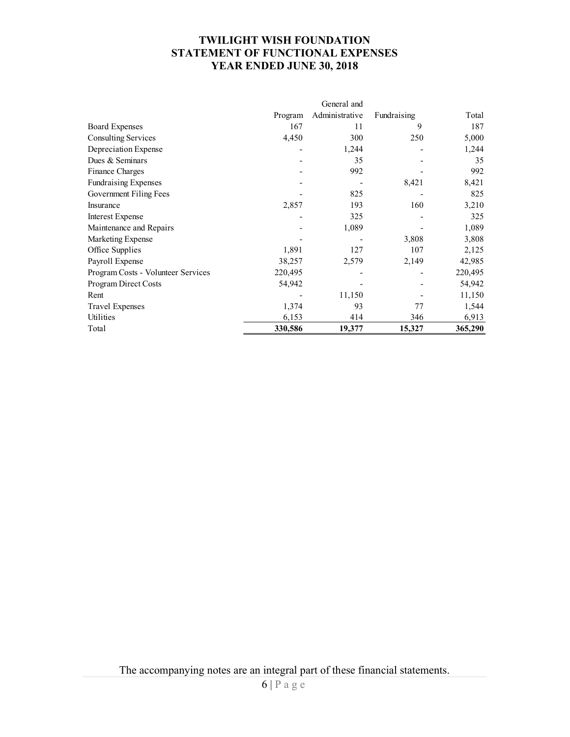## TWILIGHT WISH FOUNDATION STATEMENT OF FUNCTIONAL EXPENSES YEAR ENDED JUNE 30, 2018

|                                    |         | General and    |             |         |
|------------------------------------|---------|----------------|-------------|---------|
|                                    | Program | Administrative | Fundraising | Total   |
| <b>Board Expenses</b>              | 167     | 11             | 9           | 187     |
| <b>Consulting Services</b>         | 4,450   | 300            | 250         | 5,000   |
| Depreciation Expense               |         | 1,244          |             | 1,244   |
| Dues & Seminars                    |         | 35             |             | 35      |
| Finance Charges                    |         | 992            |             | 992     |
| <b>Fundraising Expenses</b>        |         |                | 8,421       | 8,421   |
| Government Filing Fees             |         | 825            |             | 825     |
| Insurance                          | 2,857   | 193            | 160         | 3,210   |
| <b>Interest Expense</b>            |         | 325            |             | 325     |
| Maintenance and Repairs            |         | 1,089          |             | 1,089   |
| Marketing Expense                  |         |                | 3,808       | 3,808   |
| Office Supplies                    | 1,891   | 127            | 107         | 2,125   |
| Payroll Expense                    | 38,257  | 2,579          | 2,149       | 42,985  |
| Program Costs - Volunteer Services | 220,495 |                |             | 220,495 |
| Program Direct Costs               | 54,942  |                |             | 54,942  |
| Rent                               |         | 11,150         |             | 11,150  |
| Travel Expenses                    | 1,374   | 93             | 77          | 1,544   |
| Utilities                          | 6,153   | 414            | 346         | 6,913   |
| Total                              | 330,586 | 19,377         | 15,327      | 365,290 |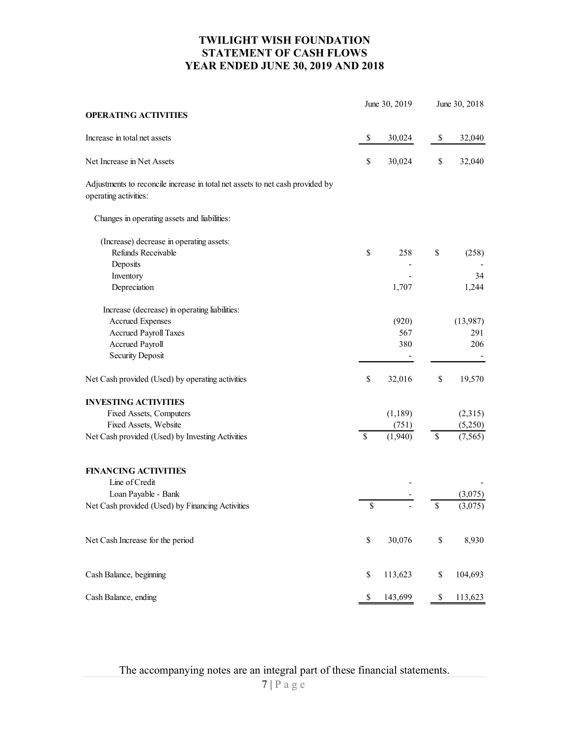## TWILIGHT WISH FOUNDATION STATEMENT OF CASH FLOWS YEAR ENDED JUNE 30, 2019 AND 2018

|                                                                                                                                      |             | <b>YEAR ENDED JUNE 30, 2019 AND 2018</b> |              |                                     |
|--------------------------------------------------------------------------------------------------------------------------------------|-------------|------------------------------------------|--------------|-------------------------------------|
| <b>OPERATING ACTIVITIES</b>                                                                                                          |             | June 30, 2019                            |              | June 30, 2018                       |
|                                                                                                                                      |             |                                          |              |                                     |
| Increase in total net assets                                                                                                         | \$          | 30,024                                   | \$           | 32,040                              |
| Net Increase in Net Assets<br>Adjustments to reconcile increase in total net assets to net cash provided by<br>operating activities: | \$          | 30,024                                   | $\mathbb{S}$ | 32,040                              |
| Changes in operating assets and liabilities:                                                                                         |             |                                          |              |                                     |
| (Increase) decrease in operating assets:                                                                                             |             |                                          |              |                                     |
| Refunds Receivable<br>Deposits                                                                                                       | \$          | 258<br>$\overline{\phantom{a}}$          | $\mathbb S$  | (258)                               |
| Inventory<br>Depreciation                                                                                                            |             | 1,707                                    |              | 34<br>1,244                         |
|                                                                                                                                      |             |                                          |              |                                     |
| Increase (decrease) in operating liabilities:<br>Accrued Expenses                                                                    |             | (920)                                    |              | (13,987)                            |
| Accrued Payroll Taxes                                                                                                                |             | 567                                      |              | 291                                 |
| Accrued Payroll<br><b>Security Deposit</b>                                                                                           |             | 380<br>$\overline{\phantom{a}}$          |              | 206<br>$\overline{\phantom{a}}$     |
| Net Cash provided (Used) by operating activities                                                                                     | \$          | 32,016                                   | $\mathbb{S}$ | 19,570                              |
| <b>INVESTING ACTIVITIES</b>                                                                                                          |             |                                          |              |                                     |
| Fixed Assets, Computers<br>Fixed Assets, Website                                                                                     |             | (1, 189)<br>(751)                        |              | (2,315)<br>(5,250)                  |
| Net Cash provided (Used) by Investing Activities                                                                                     | $\mathbb S$ | (1,940)                                  | $\mathbb S$  | (7, 565)                            |
| <b>FINANCING ACTIVITIES</b>                                                                                                          |             |                                          |              |                                     |
| Line of Credit<br>Loan Payable - Bank                                                                                                |             |                                          |              | $\overline{\phantom{a}}$<br>(3,075) |
| Net Cash provided (Used) by Financing Activities                                                                                     | $\mathbb S$ |                                          | $\mathbb{S}$ | (3,075)                             |
| Net Cash Increase for the period                                                                                                     | \$          | 30,076                                   | $\mathbb{S}$ | 8,930                               |
| Cash Balance, beginning                                                                                                              | \$          | 113,623                                  | \$           | 104,693                             |
| Cash Balance, ending                                                                                                                 | \$          | 143,699                                  | \$           | 113,623                             |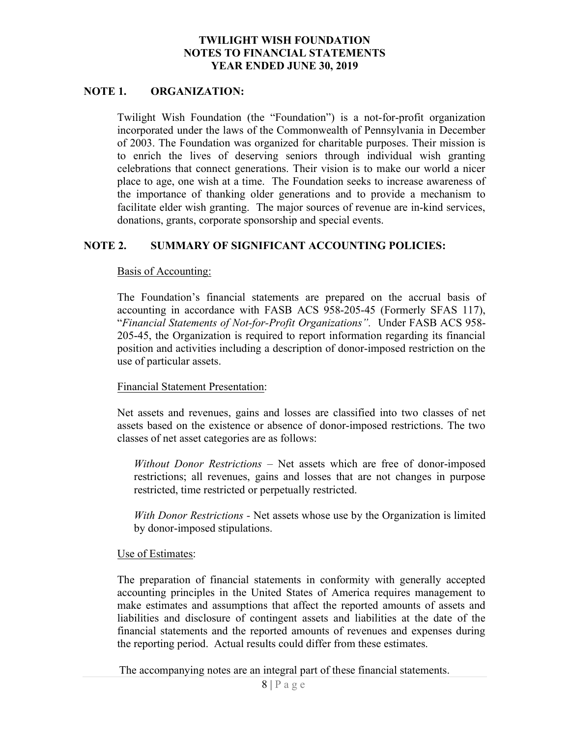#### NOTE 1. ORGANIZATION:

Twilight Wish Foundation (the "Foundation") is a not-for-profit organization incorporated under the laws of the Commonwealth of Pennsylvania in December of 2003. The Foundation was organized for charitable purposes. Their mission is to enrich the lives of deserving seniors through individual wish granting celebrations that connect generations. Their vision is to make our world a nicer place to age, one wish at a time. The Foundation seeks to increase awareness of the importance of thanking older generations and to provide a mechanism to facilitate elder wish granting. The major sources of revenue are in-kind services, donations, grants, corporate sponsorship and special events.

## NOTE 2. SUMMARY OF SIGNIFICANT ACCOUNTING POLICIES:

#### Basis of Accounting:

The Foundation's financial statements are prepared on the accrual basis of accounting in accordance with FASB ACS 958-205-45 (Formerly SFAS 117), "Financial Statements of Not-for-Profit Organizations". Under FASB ACS 958- 205-45, the Organization is required to report information regarding its financial position and activities including a description of donor-imposed restriction on the use of particular assets.

#### Financial Statement Presentation:

Net assets and revenues, gains and losses are classified into two classes of net assets based on the existence or absence of donor-imposed restrictions. The two classes of net asset categories are as follows:

Without Donor Restrictions – Net assets which are free of donor-imposed restrictions; all revenues, gains and losses that are not changes in purpose restricted, time restricted or perpetually restricted.

With Donor Restrictions - Net assets whose use by the Organization is limited by donor-imposed stipulations.

#### Use of Estimates:

The preparation of financial statements in conformity with generally accepted accounting principles in the United States of America requires management to make estimates and assumptions that affect the reported amounts of assets and liabilities and disclosure of contingent assets and liabilities at the date of the financial statements and the reported amounts of revenues and expenses during the reporting period. Actual results could differ from these estimates.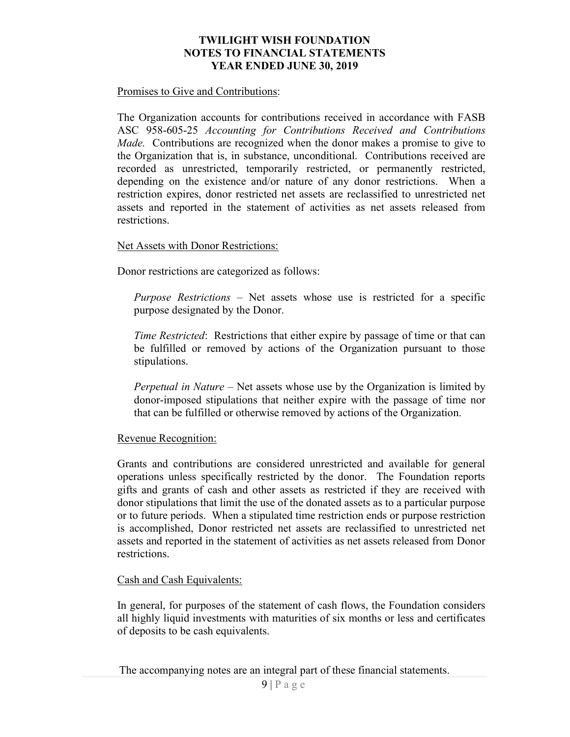#### Promises to Give and Contributions:

The Organization accounts for contributions received in accordance with FASB ASC 958-605-25 Accounting for Contributions Received and Contributions Made. Contributions are recognized when the donor makes a promise to give to the Organization that is, in substance, unconditional. Contributions received are recorded as unrestricted, temporarily restricted, or permanently restricted, depending on the existence and/or nature of any donor restrictions. When a restriction expires, donor restricted net assets are reclassified to unrestricted net assets and reported in the statement of activities as net assets released from restrictions.

### Net Assets with Donor Restrictions:

Donor restrictions are categorized as follows:

Purpose Restrictions – Net assets whose use is restricted for a specific purpose designated by the Donor.

Time Restricted: Restrictions that either expire by passage of time or that can be fulfilled or removed by actions of the Organization pursuant to those stipulations.

Perpetual in Nature – Net assets whose use by the Organization is limited by donor-imposed stipulations that neither expire with the passage of time nor that can be fulfilled or otherwise removed by actions of the Organization.

#### Revenue Recognition:

Grants and contributions are considered unrestricted and available for general operations unless specifically restricted by the donor. The Foundation reports gifts and grants of cash and other assets as restricted if they are received with donor stipulations that limit the use of the donated assets as to a particular purpose or to future periods. When a stipulated time restriction ends or purpose restriction is accomplished, Donor restricted net assets are reclassified to unrestricted net assets and reported in the statement of activities as net assets released from Donor restrictions.

#### Cash and Cash Equivalents:

In general, for purposes of the statement of cash flows, the Foundation considers all highly liquid investments with maturities of six months or less and certificates of deposits to be cash equivalents.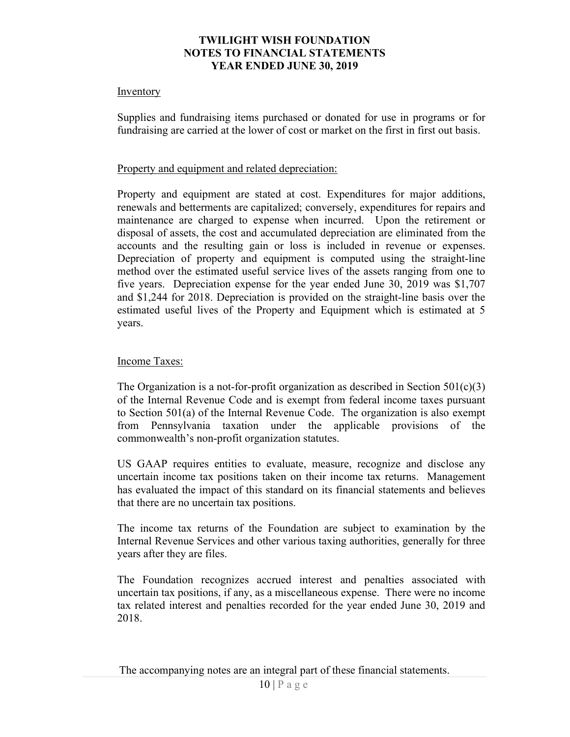#### Inventory

Supplies and fundraising items purchased or donated for use in programs or for fundraising are carried at the lower of cost or market on the first in first out basis.

### Property and equipment and related depreciation:

Property and equipment are stated at cost. Expenditures for major additions, renewals and betterments are capitalized; conversely, expenditures for repairs and maintenance are charged to expense when incurred. Upon the retirement or disposal of assets, the cost and accumulated depreciation are eliminated from the accounts and the resulting gain or loss is included in revenue or expenses. Depreciation of property and equipment is computed using the straight-line method over the estimated useful service lives of the assets ranging from one to five years. Depreciation expense for the year ended June 30, 2019 was \$1,707 and \$1,244 for 2018. Depreciation is provided on the straight-line basis over the estimated useful lives of the Property and Equipment which is estimated at 5 years.

### Income Taxes:

The Organization is a not-for-profit organization as described in Section  $501(c)(3)$ of the Internal Revenue Code and is exempt from federal income taxes pursuant to Section 501(a) of the Internal Revenue Code. The organization is also exempt from Pennsylvania taxation under the applicable provisions of the commonwealth's non-profit organization statutes.

US GAAP requires entities to evaluate, measure, recognize and disclose any uncertain income tax positions taken on their income tax returns. Management has evaluated the impact of this standard on its financial statements and believes that there are no uncertain tax positions.

The income tax returns of the Foundation are subject to examination by the Internal Revenue Services and other various taxing authorities, generally for three years after they are files.

The Foundation recognizes accrued interest and penalties associated with uncertain tax positions, if any, as a miscellaneous expense. There were no income tax related interest and penalties recorded for the year ended June 30, 2019 and 2018.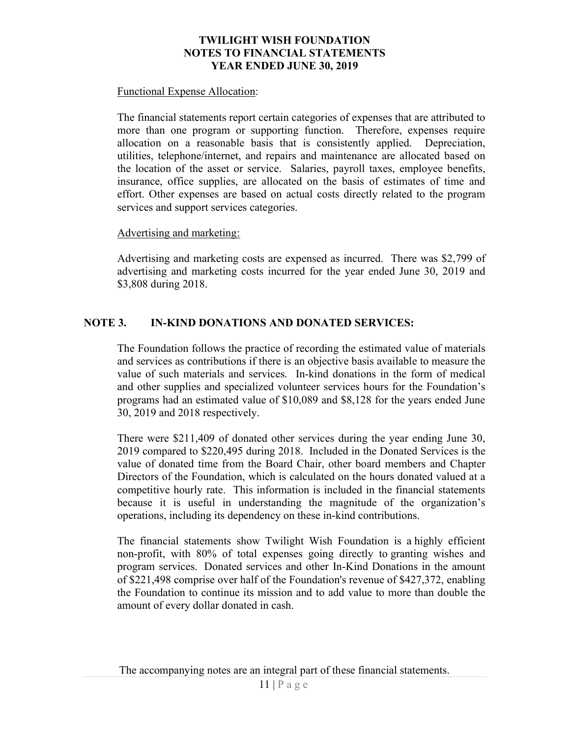#### Functional Expense Allocation:

The financial statements report certain categories of expenses that are attributed to more than one program or supporting function. Therefore, expenses require allocation on a reasonable basis that is consistently applied. Depreciation, utilities, telephone/internet, and repairs and maintenance are allocated based on the location of the asset or service. Salaries, payroll taxes, employee benefits, insurance, office supplies, are allocated on the basis of estimates of time and effort. Other expenses are based on actual costs directly related to the program services and support services categories.

#### Advertising and marketing:

Advertising and marketing costs are expensed as incurred. There was \$2,799 of advertising and marketing costs incurred for the year ended June 30, 2019 and \$3,808 during 2018.

## NOTE 3. IN-KIND DONATIONS AND DONATED SERVICES:

The Foundation follows the practice of recording the estimated value of materials and services as contributions if there is an objective basis available to measure the value of such materials and services. In-kind donations in the form of medical and other supplies and specialized volunteer services hours for the Foundation's programs had an estimated value of \$10,089 and \$8,128 for the years ended June 30, 2019 and 2018 respectively.

There were \$211,409 of donated other services during the year ending June 30, 2019 compared to \$220,495 during 2018. Included in the Donated Services is the value of donated time from the Board Chair, other board members and Chapter Directors of the Foundation, which is calculated on the hours donated valued at a competitive hourly rate. This information is included in the financial statements because it is useful in understanding the magnitude of the organization's operations, including its dependency on these in-kind contributions.

The financial statements show Twilight Wish Foundation is a highly efficient non-profit, with 80% of total expenses going directly to granting wishes and program services. Donated services and other In-Kind Donations in the amount of \$221,498 comprise over half of the Foundation's revenue of \$427,372, enabling the Foundation to continue its mission and to add value to more than double the amount of every dollar donated in cash.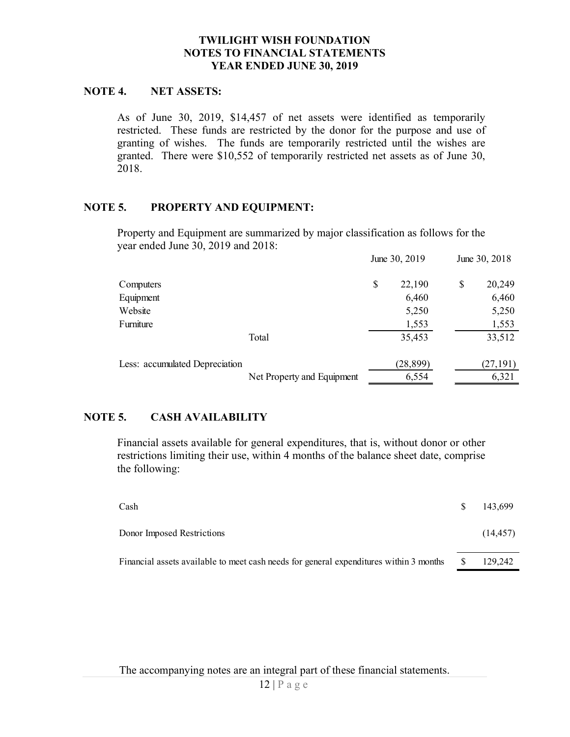#### NOTE 4. NET ASSETS:

## NOTE 5. PROPERTY AND EQUIPMENT:

|                                    | <b>TWILIGHT WISH FOUNDATION</b><br><b>NOTES TO FINANCIAL STATEMENTS</b><br>YEAR ENDED JUNE 30, 2019                                                                                                                                                                                                                               |               |    |               |
|------------------------------------|-----------------------------------------------------------------------------------------------------------------------------------------------------------------------------------------------------------------------------------------------------------------------------------------------------------------------------------|---------------|----|---------------|
| <b>NET ASSETS:</b><br>4.           |                                                                                                                                                                                                                                                                                                                                   |               |    |               |
| 2018.                              | As of June 30, 2019, \$14,457 of net assets were identified as temporarily<br>restricted. These funds are restricted by the donor for the purpose and use of<br>granting of wishes. The funds are temporarily restricted until the wishes are<br>granted. There were \$10,552 of temporarily restricted net assets as of June 30, |               |    |               |
| 5.<br>PROPERTY AND EQUIPMENT:      |                                                                                                                                                                                                                                                                                                                                   |               |    |               |
|                                    | Property and Equipment are summarized by major classification as follows for the                                                                                                                                                                                                                                                  |               |    |               |
| year ended June 30, 2019 and 2018: |                                                                                                                                                                                                                                                                                                                                   | June 30, 2019 |    | June 30, 2018 |
| Computers                          |                                                                                                                                                                                                                                                                                                                                   | \$<br>22,190  | \$ | 20,249        |
| Equipment                          |                                                                                                                                                                                                                                                                                                                                   | 6,460         |    | 6,460         |
| Website                            |                                                                                                                                                                                                                                                                                                                                   | 5,250         |    | 5,250         |
| Furniture                          |                                                                                                                                                                                                                                                                                                                                   | 1,553         |    | 1,553         |
|                                    | Total                                                                                                                                                                                                                                                                                                                             | 35,453        |    | 33,512        |
| Less: accumulated Depreciation     |                                                                                                                                                                                                                                                                                                                                   | (28, 899)     |    | (27, 191)     |
|                                    | Net Property and Equipment                                                                                                                                                                                                                                                                                                        | 6,554         |    | 6,321         |
| 5.<br><b>CASH AVAILABILITY</b>     |                                                                                                                                                                                                                                                                                                                                   |               |    |               |
| the following:                     | Financial assets available for general expenditures, that is, without donor or other<br>restrictions limiting their use, within 4 months of the balance sheet date, comprise                                                                                                                                                      |               |    |               |
| Cash                               |                                                                                                                                                                                                                                                                                                                                   |               | \$ | 143,699       |
| Donor Imposed Restrictions         |                                                                                                                                                                                                                                                                                                                                   |               |    | (14, 457)     |
|                                    | Financial assets available to meet cash needs for general expenditures within 3 months                                                                                                                                                                                                                                            |               | S  | 129,242       |
|                                    |                                                                                                                                                                                                                                                                                                                                   |               |    |               |

# NOTE 5. CASH AVAILABILITY

| Less: accumulated Depreciation | Total                                                                                                                                                                        | 35,453    | 33,512        |
|--------------------------------|------------------------------------------------------------------------------------------------------------------------------------------------------------------------------|-----------|---------------|
|                                |                                                                                                                                                                              |           |               |
|                                |                                                                                                                                                                              | (28, 899) | (27, 191)     |
|                                | Net Property and Equipment                                                                                                                                                   | 6,554     | 6,321         |
| <b>CASH AVAILABILITY</b><br>5. |                                                                                                                                                                              |           |               |
| the following:                 | Financial assets available for general expenditures, that is, without donor or other<br>restrictions limiting their use, within 4 months of the balance sheet date, comprise |           |               |
| Cash                           |                                                                                                                                                                              |           | \$<br>143,699 |
| Donor Imposed Restrictions     |                                                                                                                                                                              |           | (14, 457)     |
|                                | Financial assets available to meet cash needs for general expenditures within 3 months                                                                                       |           | 129,242       |